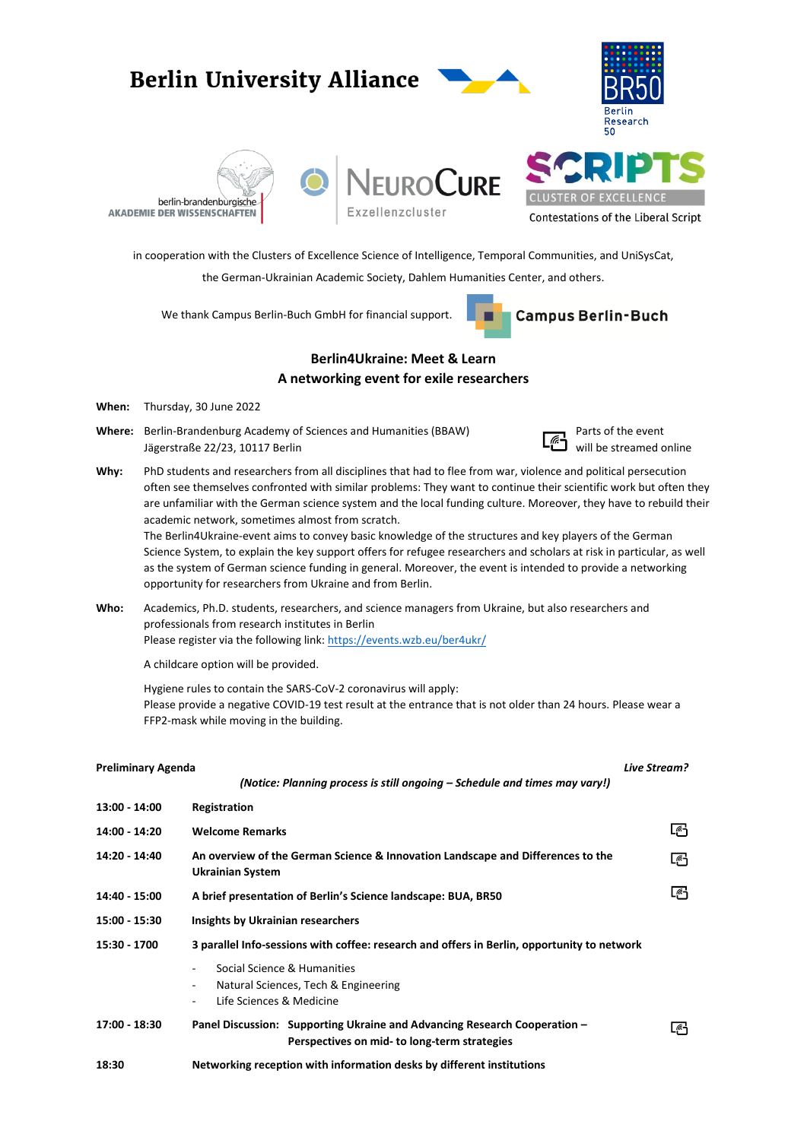## **Berlin University Alliance** Research 50 **EUROCURE CLUSTER OF** berlin-brandenburgische Exzellenzcluster **AKADEMIE DER WISSENSCHAFTEN Contestations of the Liberal Script** in cooperation with the Clusters of Excellence Science of Intelligence, Temporal Communities, and UniSysCat, the German-Ukrainian Academic Society, Dahlem Humanities Center, and others.

We thank Campus Berlin-Buch GmbH for financial support.



## **Berlin4Ukraine: Meet & Learn A networking event for exile researchers**

- **When:** Thursday, 30 June 2022
- **Where:** Berlin-Brandenburg Academy of Sciences and Humanities (BBAW) **Parts of the event** Jägerstraße 22/23, 10117 Berlin will be streamed online



**Why:** PhD students and researchers from all disciplines that had to flee from war, violence and political persecution often see themselves confronted with similar problems: They want to continue their scientific work but often they are unfamiliar with the German science system and the local funding culture. Moreover, they have to rebuild their academic network, sometimes almost from scratch.

The Berlin4Ukraine-event aims to convey basic knowledge of the structures and key players of the German Science System, to explain the key support offers for refugee researchers and scholars at risk in particular, as well as the system of German science funding in general. Moreover, the event is intended to provide a networking opportunity for researchers from Ukraine and from Berlin.

**Who:** Academics, Ph.D. students, researchers, and science managers from Ukraine, but also researchers and professionals from research institutes in Berlin Please register via the following link:<https://events.wzb.eu/ber4ukr/>

A childcare option will be provided.

Hygiene rules to contain the SARS-CoV-2 coronavirus will apply: Please provide a negative COVID-19 test result at the entrance that is not older than 24 hours. Please wear a FFP2-mask while moving in the building.

| <b>Preliminary Agenda</b> |                                                                                                                           | Live Stream? |
|---------------------------|---------------------------------------------------------------------------------------------------------------------------|--------------|
|                           | (Notice: Planning process is still ongoing – Schedule and times may vary!)                                                |              |
| 13:00 - 14:00             | Registration                                                                                                              |              |
| 14:00 - 14:20             | <b>Welcome Remarks</b>                                                                                                    | د ًا         |
| 14:20 - 14:40             | An overview of the German Science & Innovation Landscape and Differences to the<br>Ukrainian System                       | 啞            |
| 14:40 - 15:00             | A brief presentation of Berlin's Science landscape: BUA, BR50                                                             | L-6          |
| 15:00 - 15:30             | <b>Insights by Ukrainian researchers</b>                                                                                  |              |
| 15:30 - 1700              | 3 parallel Info-sessions with coffee: research and offers in Berlin, opportunity to network                               |              |
|                           | Social Science & Humanities<br>۰<br>Natural Sciences, Tech & Engineering<br>۰<br>Life Sciences & Medicine<br>۰.           |              |
| 17:00 - 18:30             | Panel Discussion: Supporting Ukraine and Advancing Research Cooperation -<br>Perspectives on mid- to long-term strategies | ڻها          |
| 18:30                     | Networking reception with information desks by different institutions                                                     |              |